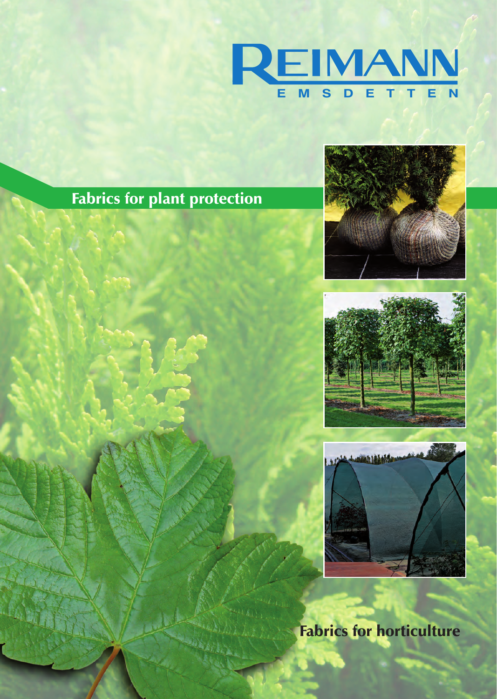

## Fabrics for plant protection







Fabrics for horticulture